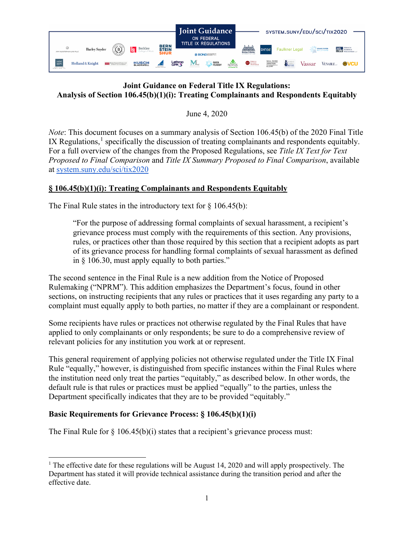

# **Joint Guidance on Federal Title IX Regulations: Analysis of Section 106.45(b)(1)(i): Treating Complainants and Respondents Equitably**

June 4, 2020

*Note*: This document focuses on a summary analysis of Section 106.45(b) of the 2020 Final Title IX Regulations, $<sup>1</sup>$  $<sup>1</sup>$  $<sup>1</sup>$  specifically the discussion of treating complainants and respondents equitably.</sup> For a full overview of the changes from the Proposed Regulations, see *Title IX Text for Text Proposed to Final Comparison* and *Title IX Summary Proposed to Final Comparison*, available at [system.suny.edu/sci/tix2020](https://system.suny.edu/sci/tix2020/)

## **§ 106.45(b)(1)(i): Treating Complainants and Respondents Equitably**

The Final Rule states in the introductory text for  $\S$  106.45(b):

"For the purpose of addressing formal complaints of sexual harassment, a recipient's grievance process must comply with the requirements of this section. Any provisions, rules, or practices other than those required by this section that a recipient adopts as part of its grievance process for handling formal complaints of sexual harassment as defined in § 106.30, must apply equally to both parties."

The second sentence in the Final Rule is a new addition from the Notice of Proposed Rulemaking ("NPRM"). This addition emphasizes the Department's focus, found in other sections, on instructing recipients that any rules or practices that it uses regarding any party to a complaint must equally apply to both parties, no matter if they are a complainant or respondent.

Some recipients have rules or practices not otherwise regulated by the Final Rules that have applied to only complainants or only respondents; be sure to do a comprehensive review of relevant policies for any institution you work at or represent.

This general requirement of applying policies not otherwise regulated under the Title IX Final Rule "equally," however, is distinguished from specific instances within the Final Rules where the institution need only treat the parties "equitably," as described below. In other words, the default rule is that rules or practices must be applied "equally" to the parties, unless the Department specifically indicates that they are to be provided "equitably."

# **Basic Requirements for Grievance Process: § 106.45(b)(1)(i)**

The Final Rule for  $\S 106.45(b)(i)$  states that a recipient's grievance process must:

<span id="page-0-0"></span><sup>&</sup>lt;sup>1</sup> The effective date for these regulations will be August 14, 2020 and will apply prospectively. The Department has stated it will provide technical assistance during the transition period and after the effective date.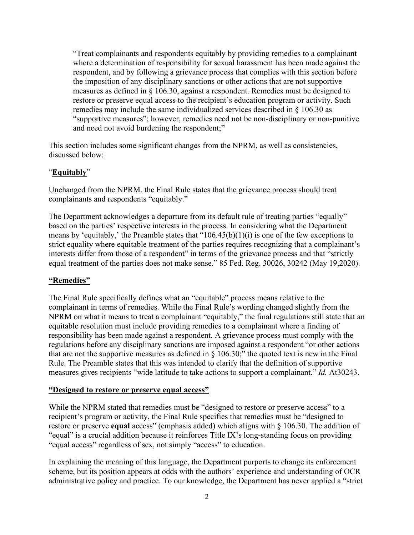"Treat complainants and respondents equitably by providing remedies to a complainant where a determination of responsibility for sexual harassment has been made against the respondent, and by following a grievance process that complies with this section before the imposition of any disciplinary sanctions or other actions that are not supportive measures as defined in § 106.30, against a respondent. Remedies must be designed to restore or preserve equal access to the recipient's education program or activity. Such remedies may include the same individualized services described in § 106.30 as "supportive measures"; however, remedies need not be non-disciplinary or non-punitive and need not avoid burdening the respondent;"

This section includes some significant changes from the NPRM, as well as consistencies, discussed below:

### "**Equitably**"

Unchanged from the NPRM, the Final Rule states that the grievance process should treat complainants and respondents "equitably."

The Department acknowledges a departure from its default rule of treating parties "equally" based on the parties' respective interests in the process. In considering what the Department means by 'equitably,' the Preamble states that "106.45(b)(1)(i) is one of the few exceptions to strict equality where equitable treatment of the parties requires recognizing that a complainant's interests differ from those of a respondent" in terms of the grievance process and that "strictly equal treatment of the parties does not make sense." 85 Fed. Reg. 30026, 30242 (May 19,2020).

### **"Remedies"**

The Final Rule specifically defines what an "equitable" process means relative to the complainant in terms of remedies. While the Final Rule's wording changed slightly from the NPRM on what it means to treat a complainant "equitably," the final regulations still state that an equitable resolution must include providing remedies to a complainant where a finding of responsibility has been made against a respondent. A grievance process must comply with the regulations before any disciplinary sanctions are imposed against a respondent "or other actions that are not the supportive measures as defined in  $\S$  106.30;" the quoted text is new in the Final Rule. The Preamble states that this was intended to clarify that the definition of supportive measures gives recipients "wide latitude to take actions to support a complainant." *Id.* At30243.

### **"Designed to restore or preserve equal access"**

While the NPRM stated that remedies must be "designed to restore or preserve access" to a recipient's program or activity, the Final Rule specifies that remedies must be "designed to restore or preserve **equal** access" (emphasis added) which aligns with § 106.30. The addition of "equal" is a crucial addition because it reinforces Title IX's long-standing focus on providing "equal access" regardless of sex, not simply "access" to education.

In explaining the meaning of this language, the Department purports to change its enforcement scheme, but its position appears at odds with the authors' experience and understanding of OCR administrative policy and practice. To our knowledge, the Department has never applied a "strict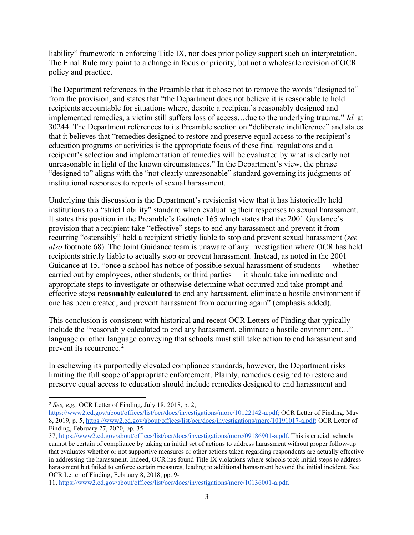liability" framework in enforcing Title IX, nor does prior policy support such an interpretation. The Final Rule may point to a change in focus or priority, but not a wholesale revision of OCR policy and practice.

The Department references in the Preamble that it chose not to remove the words "designed to" from the provision, and states that "the Department does not believe it is reasonable to hold recipients accountable for situations where, despite a recipient's reasonably designed and implemented remedies, a victim still suffers loss of access…due to the underlying trauma." *Id.* at 30244. The Department references to its Preamble section on "deliberate indifference" and states that it believes that "remedies designed to restore and preserve equal access to the recipient's education programs or activities is the appropriate focus of these final regulations and a recipient's selection and implementation of remedies will be evaluated by what is clearly not unreasonable in light of the known circumstances." In the Department's view, the phrase "designed to" aligns with the "not clearly unreasonable" standard governing its judgments of institutional responses to reports of sexual harassment.

Underlying this discussion is the Department's revisionist view that it has historically held institutions to a "strict liability" standard when evaluating their responses to sexual harassment. It states this position in the Preamble's footnote 165 which states that the 2001 Guidance's provision that a recipient take "effective" steps to end any harassment and prevent it from recurring "ostensibly" held a recipient strictly liable to stop and prevent sexual harassment (*see also* footnote 68). The Joint Guidance team is unaware of any investigation where OCR has held recipients strictly liable to actually stop or prevent harassment. Instead, as noted in the 2001 Guidance at 15, "once a school has notice of possible sexual harassment of students — whether carried out by employees, other students, or third parties –– it should take immediate and appropriate steps to investigate or otherwise determine what occurred and take prompt and effective steps **reasonably calculated** to end any harassment, eliminate a hostile environment if one has been created, and prevent harassment from occurring again" (emphasis added).

This conclusion is consistent with historical and recent OCR Letters of Finding that typically include the "reasonably calculated to end any harassment, eliminate a hostile environment…" language or other language conveying that schools must still take action to end harassment and prevent its recurrence.<sup>[2](#page-2-0)</sup>

In eschewing its purportedly elevated compliance standards, however, the Department risks limiting the full scope of appropriate enforcement. Plainly, remedies designed to restore and preserve equal access to education should include remedies designed to end harassment and

<span id="page-2-0"></span><sup>2</sup> *See, e.g.,* OCR Letter of Finding, July 18, 2018, p. 2,

[https://www2.ed.gov/about/offices/list/ocr/docs/investigations/more/10122142-a.pdf;](https://www2.ed.gov/about/offices/list/ocr/docs/investigations/more/10122142-a.pdf) OCR Letter of Finding, May 8, 2019, p. 5, [https://www2.ed.gov/about/offices/list/ocr/docs/investigations/more/10191017-a.pdf;](https://www2.ed.gov/about/offices/list/ocr/docs/investigations/more/10191017-a.pdf) OCR Letter of Finding, February 27, 2020, pp. 35-

<sup>37,</sup> [https://www2.ed.gov/about/offices/list/ocr/docs/investigations/more/09186901-a.pdf.](https://www2.ed.gov/about/offices/list/ocr/docs/investigations/more/09186901-a.pdf) This is crucial: schools cannot be certain of compliance by taking an initial set of actions to address harassment without proper follow-up that evaluates whether or not supportive measures or other actions taken regarding respondents are actually effective in addressing the harassment. Indeed, OCR has found Title IX violations where schools took initial steps to address harassment but failed to enforce certain measures, leading to additional harassment beyond the initial incident. See OCR Letter of Finding, February 8, 2018, pp. 9-

<sup>11,</sup> [https://www2.ed.gov/about/offices/list/ocr/docs/investigations/more/10136001-a.pdf.](https://www2.ed.gov/about/offices/list/ocr/docs/investigations/more/10136001-a.pdf)